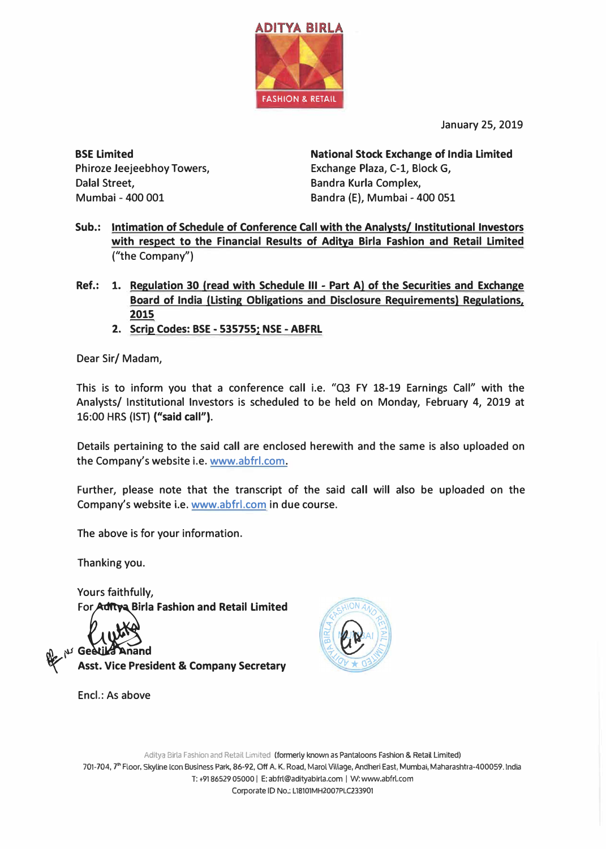

**January 25, 2019**

**BSE Limited Phiroze Jeejeebhoy Towers, Dalal Street, Mumbai - 400 001**

**National Stock Exchange of India Limited Exchange Plaza, C-1, Block G, Bandra Kurla Complex, Bandra (E), Mumbai - 400 051**

- **Sub.: Intimation of Schedule of Conference Call with the Analysts/ Institutional Investors with respect to the Financial Results of Aditya Birla Fashion and Retail Limited ("the Company")**
- **Ref.: 1. Regulation 30 (read with Schedule Ill - Part A) of the Securities and Exchange Board of India (Listing Obligations and Disclosure Requirements} Regulations, 2015** 
	- **2. Scrip Codes: BSE - 535755: NSE - ABFRL**

**Dear Sir/ Madam,**

**This is to inform you that a conference call i.e. "Q3 FY 18-19 Earnings Call" with the Analysts/ Institutional Investors is scheduled to be held on Monday, February 4, 2019 at 16:00 HRS (1ST) ("said call").** 

**Details pertaining to the said call are enclosed herewith and the same is also uploaded on the Company's website i.e. www.abfrl.com.** 

**Further, please note that the transcript of the said call will also be uploaded on the Company's website i.e. www.abfrl.com in due course.** 

**The above is for your information.**

**Thanking you.**

**Yours faithfully, For Aditya Birla Fashion and Retail Limited** 

M<sub>2</sub> N Geetika Anand

**Encl.: As above**

**� Asst. Vice President & Company Secretary**



Aditya Birla Fashion and Retail Limited (formerly known as Pantaloons Fashion & Retail Limited) 701-704, 7"' Floor, Skyline Icon Business Park, 86-92, Off A. K. Road, Marol Village, Andheri East, Mumbai, Maharashtra-400059. India T: +9186529 05000 I E: abfrl@adityabirla.com I W: www.abfrl.com Corporate ID No.: L18101MH2007PLC233901